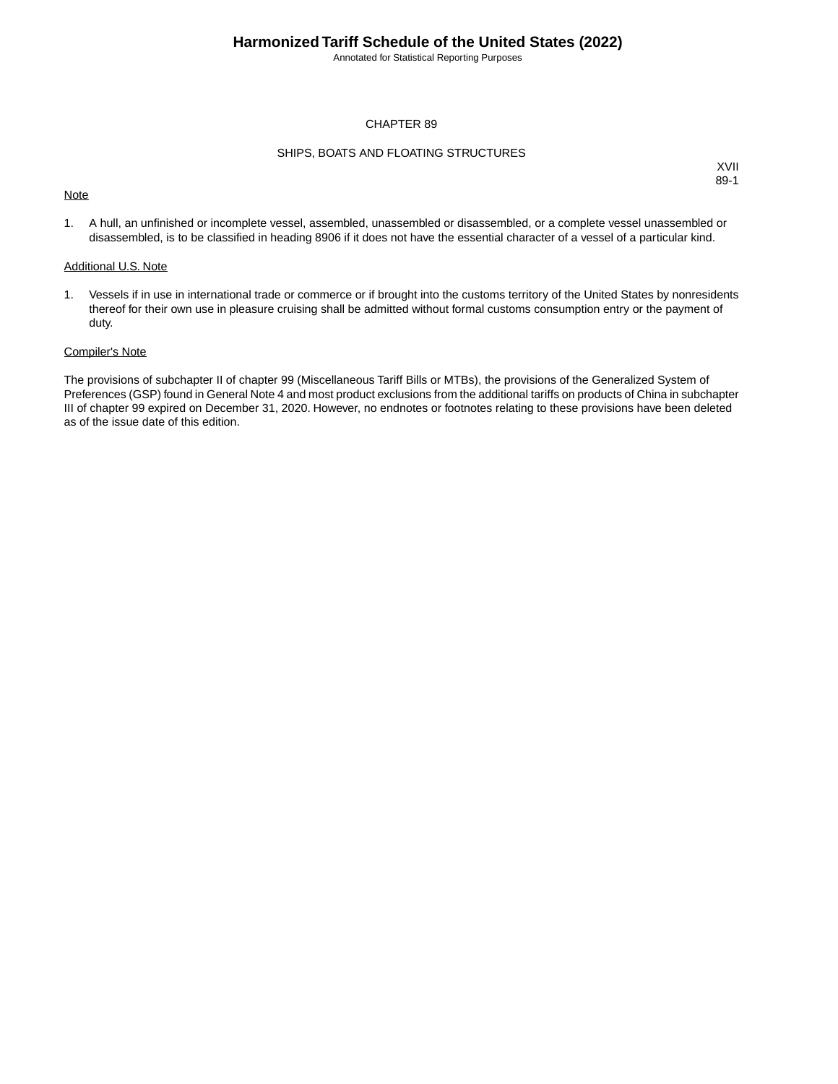Annotated for Statistical Reporting Purposes

#### CHAPTER 89

#### SHIPS, BOATS AND FLOATING STRUCTURES

#### **Note**

XVII 89-1

1. A hull, an unfinished or incomplete vessel, assembled, unassembled or disassembled, or a complete vessel unassembled or disassembled, is to be classified in heading 8906 if it does not have the essential character of a vessel of a particular kind.

#### Additional U.S. Note

1. Vessels if in use in international trade or commerce or if brought into the customs territory of the United States by nonresidents thereof for their own use in pleasure cruising shall be admitted without formal customs consumption entry or the payment of duty.

#### Compiler's Note

The provisions of subchapter II of chapter 99 (Miscellaneous Tariff Bills or MTBs), the provisions of the Generalized System of Preferences (GSP) found in General Note 4 and most product exclusions from the additional tariffs on products of China in subchapter III of chapter 99 expired on December 31, 2020. However, no endnotes or footnotes relating to these provisions have been deleted as of the issue date of this edition.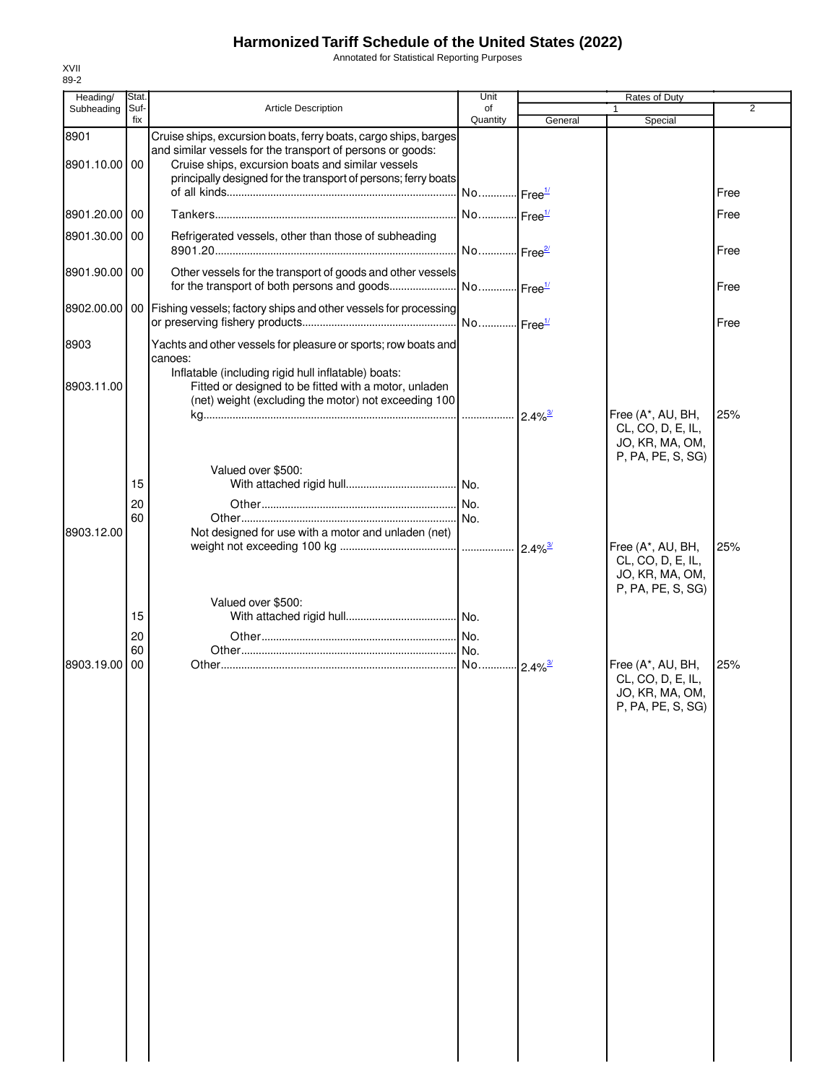Annotated for Statistical Reporting Purposes

| Heading/              | Stat.       |                                                                                                                                                                                                                                                      | Unit                  |                       | Rates of Duty                                                                  |                |
|-----------------------|-------------|------------------------------------------------------------------------------------------------------------------------------------------------------------------------------------------------------------------------------------------------------|-----------------------|-----------------------|--------------------------------------------------------------------------------|----------------|
| Subheading            | Suf-<br>fix | <b>Article Description</b>                                                                                                                                                                                                                           | of<br>Quantity        | General               | 1<br>Special                                                                   | $\overline{2}$ |
| 8901<br>8901.10.00 00 |             | Cruise ships, excursion boats, ferry boats, cargo ships, barges<br>and similar vessels for the transport of persons or goods:<br>Cruise ships, excursion boats and similar vessels<br>principally designed for the transport of persons; ferry boats | No Free <sup>1/</sup> |                       |                                                                                | Free           |
| 8901.20.00 00         |             |                                                                                                                                                                                                                                                      | No Free <sup>1/</sup> |                       |                                                                                | Free           |
| 8901.30.00 00         |             | Refrigerated vessels, other than those of subheading                                                                                                                                                                                                 | No Free <sup>2/</sup> |                       |                                                                                | Free           |
| 8901.90.00 00         |             | Other vessels for the transport of goods and other vessels<br>for the transport of both persons and goods                                                                                                                                            | No Free <sup>1/</sup> |                       |                                                                                | Free           |
|                       |             | 8902.00.00   00   Fishing vessels; factory ships and other vessels for processing                                                                                                                                                                    | No Free <sup>1/</sup> |                       |                                                                                | Free           |
| 8903                  |             | Yachts and other vessels for pleasure or sports; row boats and<br>canoes:<br>Inflatable (including rigid hull inflatable) boats:                                                                                                                     |                       |                       |                                                                                |                |
| 8903.11.00            |             | Fitted or designed to be fitted with a motor, unladen<br>(net) weight (excluding the motor) not exceeding 100                                                                                                                                        |                       |                       |                                                                                |                |
|                       |             |                                                                                                                                                                                                                                                      |                       | $2.4\%$ <sup>3/</sup> | Free (A*, AU, BH,<br>CL, CO, D, E, IL,<br>JO, KR, MA, OM,<br>P, PA, PE, S, SG) | 25%            |
|                       | 15          | Valued over \$500:                                                                                                                                                                                                                                   |                       |                       |                                                                                |                |
|                       | 20<br>60    |                                                                                                                                                                                                                                                      |                       |                       |                                                                                |                |
| 8903.12.00            |             | Not designed for use with a motor and unladen (net)                                                                                                                                                                                                  |                       |                       |                                                                                |                |
|                       |             |                                                                                                                                                                                                                                                      |                       |                       | Free (A*, AU, BH,<br>CL, CO, D, E, IL,<br>JO, KR, MA, OM,<br>P, PA, PE, S, SG) | 25%            |
|                       | 15          | Valued over \$500:                                                                                                                                                                                                                                   |                       |                       |                                                                                |                |
|                       | 20<br>60    |                                                                                                                                                                                                                                                      | I No.                 |                       |                                                                                |                |
| 8903.19.00            | 00          |                                                                                                                                                                                                                                                      | No 2.4% <sup>3/</sup> |                       | Free (A*, AU, BH,<br>CL, CO, D, E, IL,<br>JO, KR, MA, OM,<br>P, PA, PE, S, SG) | 25%            |
|                       |             |                                                                                                                                                                                                                                                      |                       |                       |                                                                                |                |
|                       |             |                                                                                                                                                                                                                                                      |                       |                       |                                                                                |                |
|                       |             |                                                                                                                                                                                                                                                      |                       |                       |                                                                                |                |
|                       |             |                                                                                                                                                                                                                                                      |                       |                       |                                                                                |                |
|                       |             |                                                                                                                                                                                                                                                      |                       |                       |                                                                                |                |
|                       |             |                                                                                                                                                                                                                                                      |                       |                       |                                                                                |                |
|                       |             |                                                                                                                                                                                                                                                      |                       |                       |                                                                                |                |
|                       |             |                                                                                                                                                                                                                                                      |                       |                       |                                                                                |                |
|                       |             |                                                                                                                                                                                                                                                      |                       |                       |                                                                                |                |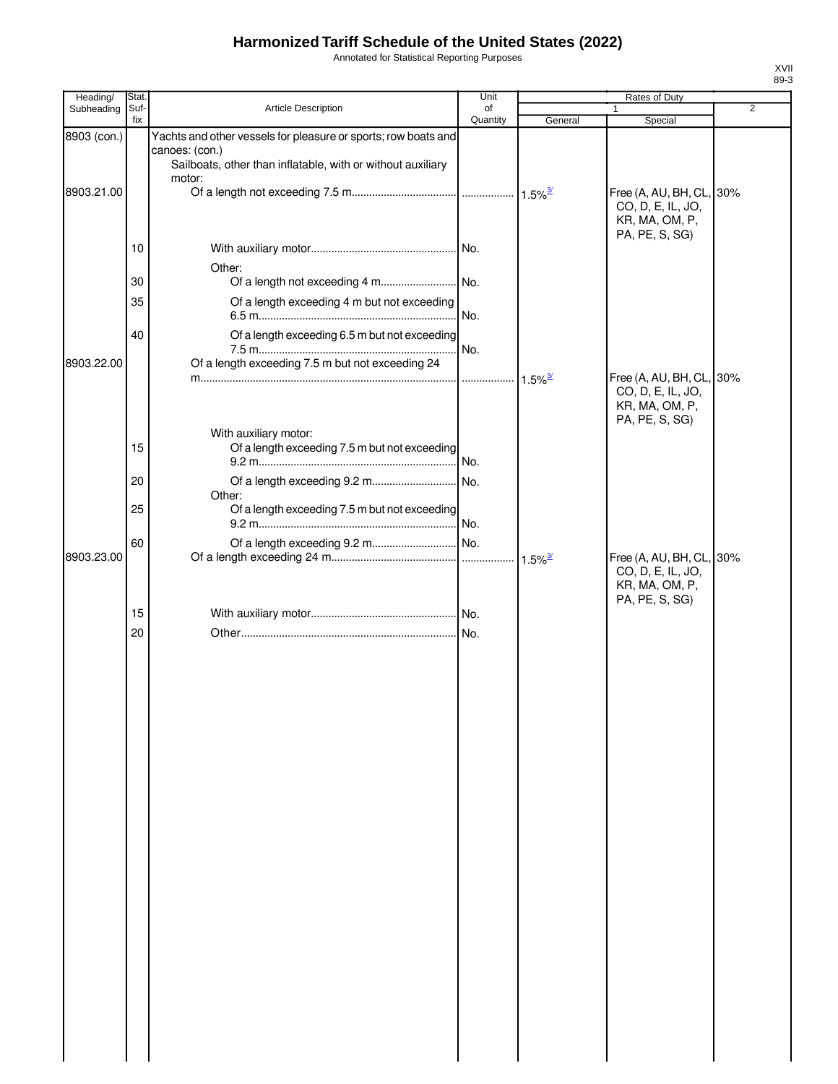Annotated for Statistical Reporting Purposes

| Heading/    | Stat.       |                                                                                                                                                 | Unit           |                       | <b>Rates of Duty</b>                                                              |                |
|-------------|-------------|-------------------------------------------------------------------------------------------------------------------------------------------------|----------------|-----------------------|-----------------------------------------------------------------------------------|----------------|
| Subheading  | Suf-<br>fix | Article Description                                                                                                                             | of<br>Quantity | General               | 1<br>Special                                                                      | $\overline{2}$ |
| 8903 (con.) |             | Yachts and other vessels for pleasure or sports; row boats and<br>canoes: (con.)<br>Sailboats, other than inflatable, with or without auxiliary |                |                       |                                                                                   |                |
| 8903.21.00  |             | motor:                                                                                                                                          |                |                       | Free (A, AU, BH, CL, 30%<br>CO, D, E, IL, JO,<br>KR, MA, OM, P,                   |                |
|             | 10          |                                                                                                                                                 |                |                       | PA, PE, S, SG)                                                                    |                |
|             | 30          | Other:                                                                                                                                          |                |                       |                                                                                   |                |
|             | 35          | Of a length exceeding 4 m but not exceeding                                                                                                     |                |                       |                                                                                   |                |
| 8903.22.00  | 40          | Of a length exceeding 6.5 m but not exceeding<br>Of a length exceeding 7.5 m but not exceeding 24                                               |                |                       |                                                                                   |                |
|             |             |                                                                                                                                                 |                | $1.5\%$ <sup>3/</sup> | Free (A, AU, BH, CL, 30%<br>CO, D, E, IL, JO,<br>KR, MA, OM, P,<br>PA, PE, S, SG) |                |
|             | 15          | With auxiliary motor:<br>Of a length exceeding 7.5 m but not exceeding                                                                          |                |                       |                                                                                   |                |
|             | 20          | Other:                                                                                                                                          |                |                       |                                                                                   |                |
|             | 25          | Of a length exceeding 7.5 m but not exceeding                                                                                                   |                |                       |                                                                                   |                |
| 8903.23.00  | 60          |                                                                                                                                                 |                | $1.5\%$ <sup>3/</sup> | Free (A, AU, BH, CL, 30%<br>CO, D, E, IL, JO,<br>KR, MA, OM, P,                   |                |
|             | 15          |                                                                                                                                                 |                |                       | PA, PE, S, SG)                                                                    |                |
|             | 20          |                                                                                                                                                 |                |                       |                                                                                   |                |
|             |             |                                                                                                                                                 |                |                       |                                                                                   |                |
|             |             |                                                                                                                                                 |                |                       |                                                                                   |                |
|             |             |                                                                                                                                                 |                |                       |                                                                                   |                |
|             |             |                                                                                                                                                 |                |                       |                                                                                   |                |
|             |             |                                                                                                                                                 |                |                       |                                                                                   |                |
|             |             |                                                                                                                                                 |                |                       |                                                                                   |                |
|             |             |                                                                                                                                                 |                |                       |                                                                                   |                |
|             |             |                                                                                                                                                 |                |                       |                                                                                   |                |
|             |             |                                                                                                                                                 |                |                       |                                                                                   |                |
|             |             |                                                                                                                                                 |                |                       |                                                                                   |                |
|             |             |                                                                                                                                                 |                |                       |                                                                                   |                |
|             |             |                                                                                                                                                 |                |                       |                                                                                   |                |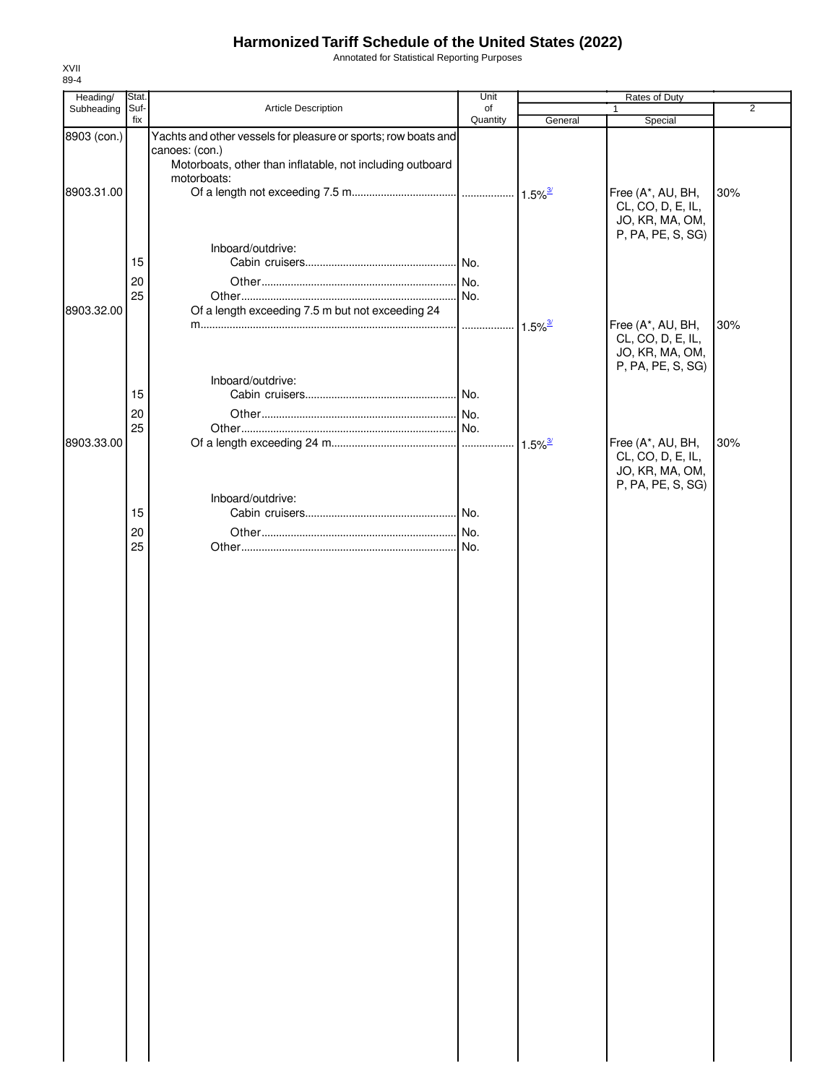Annotated for Statistical Reporting Purposes

| Heading/    | Stat.    |                                                                                  | Unit     |                       | Rates of Duty                                                                  |     |
|-------------|----------|----------------------------------------------------------------------------------|----------|-----------------------|--------------------------------------------------------------------------------|-----|
| Subheading  | Suf-     | Article Description                                                              | of       |                       |                                                                                | 2   |
|             | fix      |                                                                                  | Quantity | General               | Special                                                                        |     |
| 8903 (con.) |          | Yachts and other vessels for pleasure or sports; row boats and<br>canoes: (con.) |          |                       |                                                                                |     |
|             |          | Motorboats, other than inflatable, not including outboard<br>motorboats:         |          |                       |                                                                                |     |
| 8903.31.00  |          |                                                                                  |          |                       | Free (A*, AU, BH,<br>CL, CO, D, E, IL,<br>JO, KR, MA, OM,                      | 30% |
|             | 15       | Inboard/outdrive:                                                                |          |                       | P, PA, PE, S, SG)                                                              |     |
|             | 20<br>25 |                                                                                  |          |                       |                                                                                |     |
| 8903.32.00  |          | Of a length exceeding 7.5 m but not exceeding 24                                 |          | $1.5\%$ <sup>3/</sup> | Free (A*, AU, BH,                                                              | 30% |
|             |          |                                                                                  |          |                       | CL, CO, D, E, IL,<br>JO, KR, MA, OM,<br>P, PA, PE, S, SG)                      |     |
|             | 15       | Inboard/outdrive:                                                                |          |                       |                                                                                |     |
|             | 20       |                                                                                  |          |                       |                                                                                |     |
|             | 25       |                                                                                  |          |                       |                                                                                |     |
| 8903.33.00  |          |                                                                                  |          |                       | Free (A*, AU, BH,<br>CL, CO, D, E, IL,<br>JO, KR, MA, OM,<br>P, PA, PE, S, SG) | 30% |
|             | 15       | Inboard/outdrive:                                                                |          |                       |                                                                                |     |
|             | 20       |                                                                                  |          |                       |                                                                                |     |
|             | 25       |                                                                                  |          |                       |                                                                                |     |
|             |          |                                                                                  |          |                       |                                                                                |     |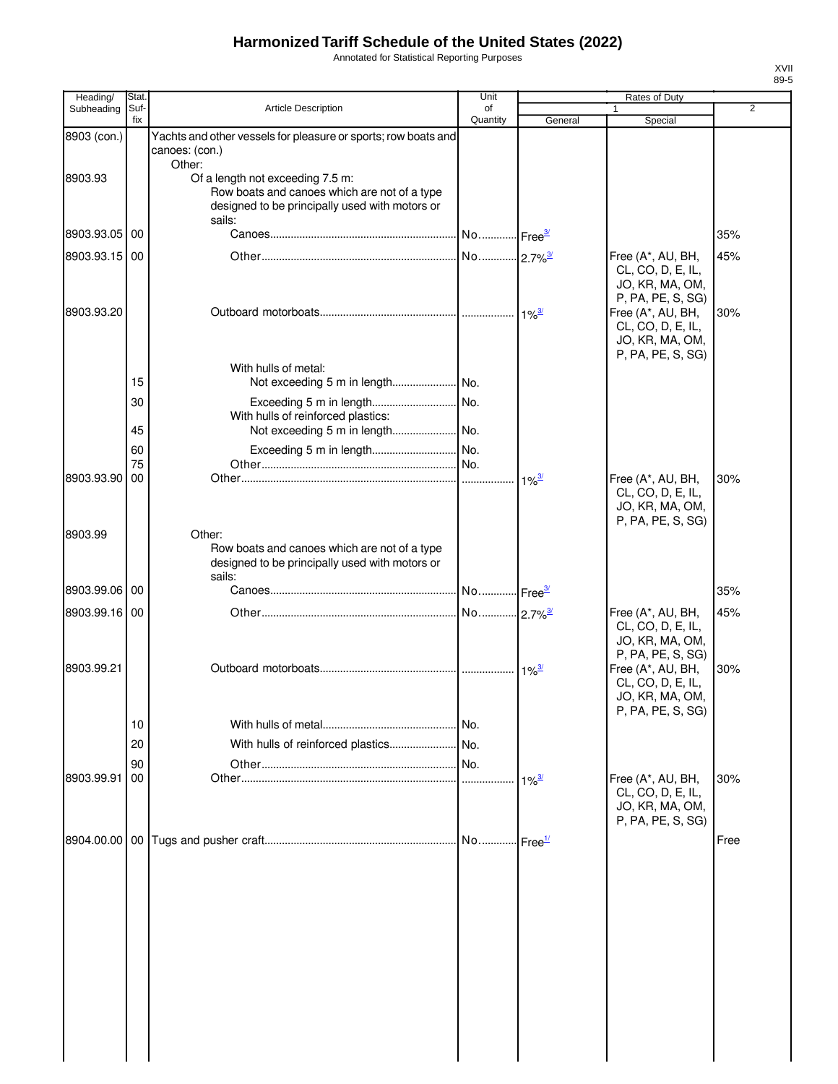Annotated for Statistical Reporting Purposes

| Heading/      | Stat.       |                                                                                                                                                        | Unit                  |                     | Rates of Duty                                                                  |                |
|---------------|-------------|--------------------------------------------------------------------------------------------------------------------------------------------------------|-----------------------|---------------------|--------------------------------------------------------------------------------|----------------|
| Subheading    | Suf-<br>fix | Article Description                                                                                                                                    | of<br>Quantity        | General             | Special                                                                        | $\overline{2}$ |
| 8903 (con.)   |             | Yachts and other vessels for pleasure or sports; row boats and<br>canoes: (con.)                                                                       |                       |                     |                                                                                |                |
| 8903.93       |             | Other:<br>Of a length not exceeding 7.5 m:<br>Row boats and canoes which are not of a type<br>designed to be principally used with motors or<br>sails: |                       |                     |                                                                                |                |
| 8903.93.05    | 00          |                                                                                                                                                        | No Free <sup>3/</sup> |                     |                                                                                | 35%            |
| 8903.93.15 00 |             |                                                                                                                                                        |                       |                     | Free (A*, AU, BH,<br>CL, CO, D, E, IL,<br>JO, KR, MA, OM,<br>P, PA, PE, S, SG) | 45%            |
| 8903.93.20    |             |                                                                                                                                                        |                       |                     | Free (A*, AU, BH,<br>CL, CO, D, E, IL,<br>JO, KR, MA, OM,<br>P, PA, PE, S, SG) | 30%            |
|               |             | With hulls of metal:                                                                                                                                   |                       |                     |                                                                                |                |
|               | 15          |                                                                                                                                                        |                       |                     |                                                                                |                |
|               | 30          | With hulls of reinforced plastics:                                                                                                                     |                       |                     |                                                                                |                |
|               | 45          |                                                                                                                                                        |                       |                     |                                                                                |                |
|               | 60          |                                                                                                                                                        |                       |                     |                                                                                |                |
|               | 75          |                                                                                                                                                        |                       |                     |                                                                                |                |
| 8903.93.90    | 00          |                                                                                                                                                        |                       | $1\%$ <sup>3/</sup> | Free (A*, AU, BH,<br>CL, CO, D, E, IL,<br>JO, KR, MA, OM,<br>P, PA, PE, S, SG) | 30%            |
| 8903.99       |             | Other:<br>Row boats and canoes which are not of a type<br>designed to be principally used with motors or<br>sails:                                     |                       |                     |                                                                                |                |
| 8903.99.06 00 |             |                                                                                                                                                        |                       |                     |                                                                                | 35%            |
| 8903.99.16 00 |             |                                                                                                                                                        | No 2.7% <sup>3/</sup> |                     | Free (A*, AU, BH,<br>CL, CO, D, E, IL,<br>JO, KR, MA, OM,<br>P, PA, PE, S, SG) | 45%            |
| 8903.99.21    |             |                                                                                                                                                        |                       | $1\%^{\frac{3}{2}}$ | Free (A*, AU, BH,<br>CL, CO, D, E, IL,<br>JO, KR, MA, OM,<br>P, PA, PE, S, SG) | 30%            |
|               | 10          |                                                                                                                                                        |                       |                     |                                                                                |                |
|               | 20          |                                                                                                                                                        |                       |                     |                                                                                |                |
|               | 90          |                                                                                                                                                        |                       |                     |                                                                                |                |
| 8903.99.91    | 00          |                                                                                                                                                        |                       | $1\%$ <sup>3/</sup> | Free (A*, AU, BH,<br>CL, CO, D, E, IL,<br>JO, KR, MA, OM,<br>P, PA, PE, S, SG) | 30%            |
|               |             |                                                                                                                                                        |                       |                     |                                                                                | Free           |
|               |             |                                                                                                                                                        |                       |                     |                                                                                |                |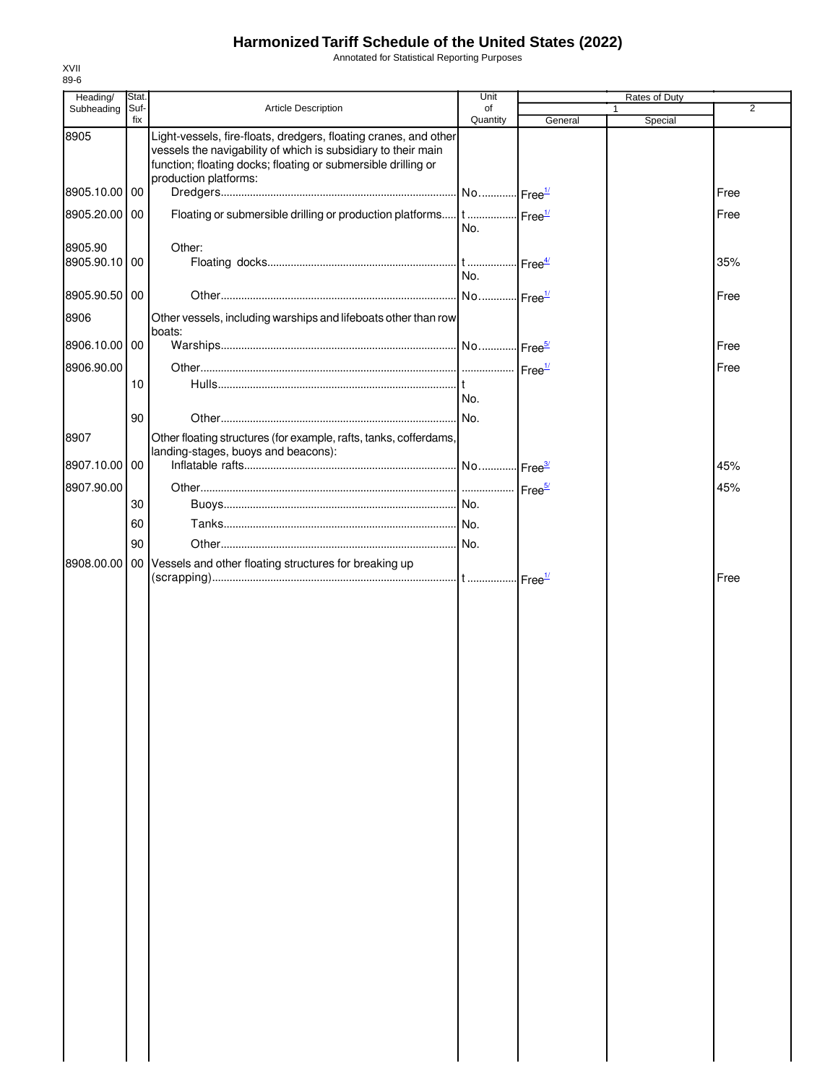Annotated for Statistical Reporting Purposes

| Heading/      | Stat.       |                                                                                                                                                                                                                             | Unit           |         | Rates of Duty |                |
|---------------|-------------|-----------------------------------------------------------------------------------------------------------------------------------------------------------------------------------------------------------------------------|----------------|---------|---------------|----------------|
| Subheading    | Suf-<br>fix | Article Description                                                                                                                                                                                                         | of<br>Quantity | General | 1<br>Special  | $\overline{2}$ |
| 8905          |             | Light-vessels, fire-floats, dredgers, floating cranes, and other<br>vessels the navigability of which is subsidiary to their main<br>function; floating docks; floating or submersible drilling or<br>production platforms: |                |         |               |                |
| 8905.10.00 00 |             |                                                                                                                                                                                                                             |                |         |               | Free           |
| 8905.20.00 00 |             | Floating or submersible drilling or production platforms   t   Free <sup>1/</sup>                                                                                                                                           | No.            |         |               | Free           |
| 8905.90       |             | Other:                                                                                                                                                                                                                      |                |         |               |                |
| 8905.90.10 00 |             |                                                                                                                                                                                                                             | No.            |         |               | 35%            |
| 8905.90.50 00 |             |                                                                                                                                                                                                                             |                |         |               | Free           |
| 8906          |             | Other vessels, including warships and lifeboats other than row<br>boats:                                                                                                                                                    |                |         |               |                |
| 8906.10.00 00 |             |                                                                                                                                                                                                                             |                |         |               | Free           |
| 8906.90.00    |             |                                                                                                                                                                                                                             |                |         |               | Free           |
|               | 10          |                                                                                                                                                                                                                             | No.            |         |               |                |
|               | 90          |                                                                                                                                                                                                                             |                |         |               |                |
| 8907          |             | Other floating structures (for example, rafts, tanks, cofferdams,                                                                                                                                                           |                |         |               |                |
|               |             | landing-stages, buoys and beacons):                                                                                                                                                                                         |                |         |               |                |
| 8907.10.00 00 |             |                                                                                                                                                                                                                             |                |         |               | 45%            |
| 8907.90.00    |             |                                                                                                                                                                                                                             |                |         |               | 45%            |
|               | 30          |                                                                                                                                                                                                                             |                |         |               |                |
|               | 60          |                                                                                                                                                                                                                             |                |         |               |                |
|               | 90          |                                                                                                                                                                                                                             |                |         |               |                |
|               |             | 8908.00.00   00   Vessels and other floating structures for breaking up                                                                                                                                                     |                |         |               | Free           |
|               |             |                                                                                                                                                                                                                             |                |         |               |                |
|               |             |                                                                                                                                                                                                                             |                |         |               |                |
|               |             |                                                                                                                                                                                                                             |                |         |               |                |
|               |             |                                                                                                                                                                                                                             |                |         |               |                |
|               |             |                                                                                                                                                                                                                             |                |         |               |                |
|               |             |                                                                                                                                                                                                                             |                |         |               |                |
|               |             |                                                                                                                                                                                                                             |                |         |               |                |
|               |             |                                                                                                                                                                                                                             |                |         |               |                |
|               |             |                                                                                                                                                                                                                             |                |         |               |                |
|               |             |                                                                                                                                                                                                                             |                |         |               |                |
|               |             |                                                                                                                                                                                                                             |                |         |               |                |
|               |             |                                                                                                                                                                                                                             |                |         |               |                |
|               |             |                                                                                                                                                                                                                             |                |         |               |                |
|               |             |                                                                                                                                                                                                                             |                |         |               |                |
|               |             |                                                                                                                                                                                                                             |                |         |               |                |
|               |             |                                                                                                                                                                                                                             |                |         |               |                |
|               |             |                                                                                                                                                                                                                             |                |         |               |                |
|               |             |                                                                                                                                                                                                                             |                |         |               |                |
|               |             |                                                                                                                                                                                                                             |                |         |               |                |
|               |             |                                                                                                                                                                                                                             |                |         |               |                |
|               |             |                                                                                                                                                                                                                             |                |         |               |                |
|               |             |                                                                                                                                                                                                                             |                |         |               |                |
|               |             |                                                                                                                                                                                                                             |                |         |               |                |
|               |             |                                                                                                                                                                                                                             |                |         |               |                |